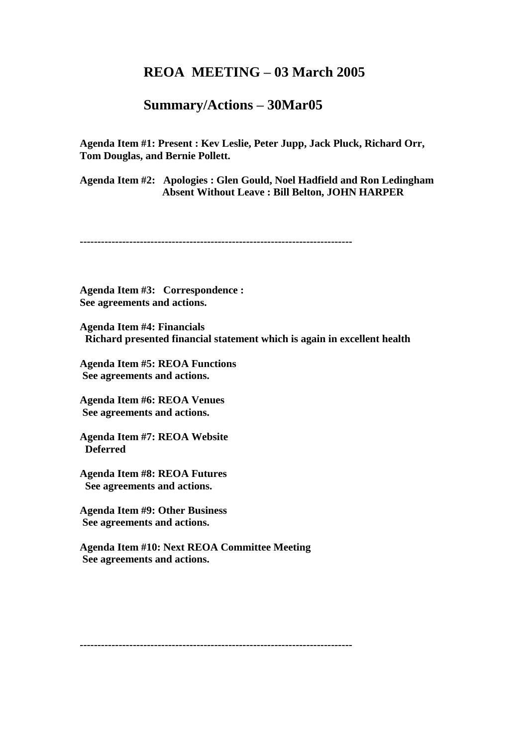## **REOA MEETING – 03 March 2005**

## **Summary/Actions – 30Mar05**

**Agenda Item #1: Present : Kev Leslie, Peter Jupp, Jack Pluck, Richard Orr, Tom Douglas, and Bernie Pollett.**

**Agenda Item #2: Apologies : Glen Gould, Noel Hadfield and Ron Ledingham Absent Without Leave : Bill Belton, JOHN HARPER** 

**-----------------------------------------------------------------------------**

**Agenda Item #3: Correspondence : See agreements and actions.**

**Agenda Item #4: Financials Richard presented financial statement which is again in excellent health** 

**Agenda Item #5: REOA Functions See agreements and actions.**

**Agenda Item #6: REOA Venues See agreements and actions.**

**Agenda Item #7: REOA Website Deferred**

**Agenda Item #8: REOA Futures See agreements and actions.**

**Agenda Item #9: Other Business See agreements and actions.**

**Agenda Item #10: Next REOA Committee Meeting See agreements and actions.**

**-----------------------------------------------------------------------------**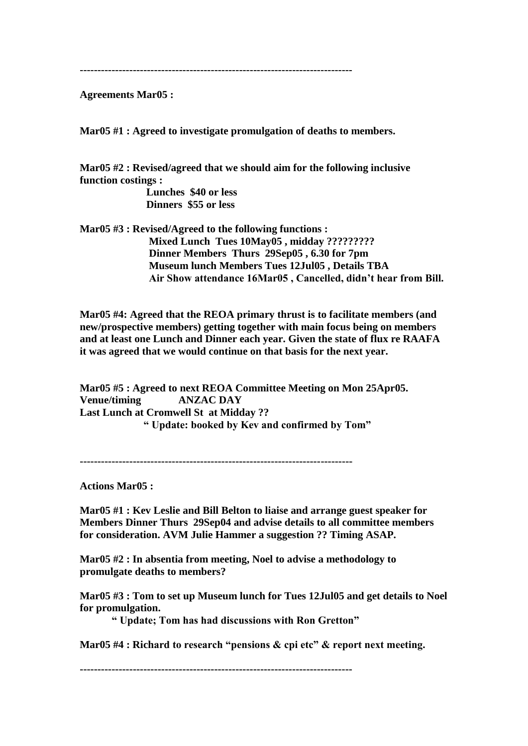**-----------------------------------------------------------------------------**

**Agreements Mar05 :**

**Mar05 #1 : Agreed to investigate promulgation of deaths to members.**

**Mar05 #2 : Revised/agreed that we should aim for the following inclusive function costings :**

> **Lunches \$40 or less Dinners \$55 or less**

**Mar05 #3 : Revised/Agreed to the following functions : Mixed Lunch Tues 10May05 , midday ????????? Dinner Members Thurs 29Sep05 , 6.30 for 7pm Museum lunch Members Tues 12Jul05 , Details TBA Air Show attendance 16Mar05 , Cancelled, didn't hear from Bill.**

**Mar05 #4: Agreed that the REOA primary thrust is to facilitate members (and new/prospective members) getting together with main focus being on members and at least one Lunch and Dinner each year. Given the state of flux re RAAFA it was agreed that we would continue on that basis for the next year.**

**Mar05 #5 : Agreed to next REOA Committee Meeting on Mon 25Apr05. Venue/timing ANZAC DAY Last Lunch at Cromwell St at Midday ?? " Update: booked by Kev and confirmed by Tom"**

**-----------------------------------------------------------------------------**

**Actions Mar05 :**

**Mar05 #1 : Kev Leslie and Bill Belton to liaise and arrange guest speaker for Members Dinner Thurs 29Sep04 and advise details to all committee members for consideration. AVM Julie Hammer a suggestion ?? Timing ASAP.**

**Mar05 #2 : In absentia from meeting, Noel to advise a methodology to promulgate deaths to members?**

**Mar05 #3 : Tom to set up Museum lunch for Tues 12Jul05 and get details to Noel for promulgation.**

**" Update; Tom has had discussions with Ron Gretton"**

**Mar05 #4 : Richard to research "pensions & cpi etc" & report next meeting.**

**-----------------------------------------------------------------------------**